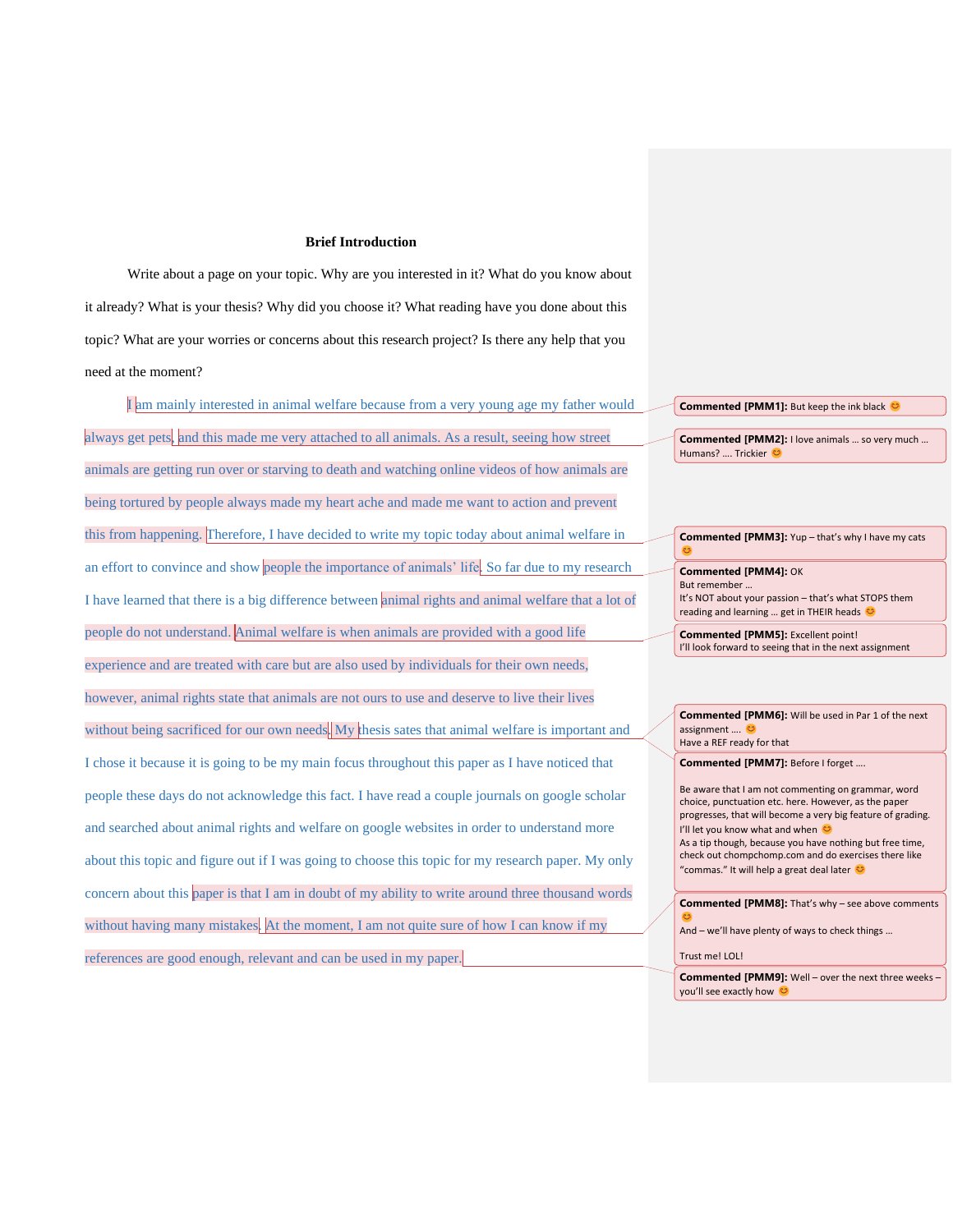### **Brief Introduction**

Write about a page on your topic. Why are you interested in it? What do you know about it already? What is your thesis? Why did you choose it? What reading have you done about this topic? What are your worries or concerns about this research project? Is there any help that you need at the moment?

I am mainly interested in animal welfare because from a very young age my father would always get pets, and this made me very attached to all animals. As a result, seeing how street animals are getting run over or starving to death and watching online videos of how animals are being tortured by people always made my heart ache and made me want to action and prevent this from happening. Therefore, I have decided to write my topic today about animal welfare in an effort to convince and show people the importance of animals' life. So far due to my research I have learned that there is a big difference between animal rights and animal welfare that a lot of people do not understand. Animal welfare is when animals are provided with a good life experience and are treated with care but are also used by individuals for their own needs, however, animal rights state that animals are not ours to use and deserve to live their lives without being sacrificed for our own needs.  $M_y$  thesis sates that animal welfare is important and I chose it because it is going to be my main focus throughout this paper as I have noticed that people these days do not acknowledge this fact. I have read a couple journals on google scholar and searched about animal rights and welfare on google websites in order to understand more about this topic and figure out if I was going to choose this topic for my research paper. My only concern about this paper is that I am in doubt of my ability to write around three thousand words without having many mistakes. At the moment, I am not quite sure of how I can know if my references are good enough, relevant and can be used in my paper.

**Commented [PMM1]:** But keep the ink black  $\bullet$ 

**Commented [PMM2]:** I love animals … so very much … Humans? …. Trickier

**Commented [PMM3]:** Yup – that's why I have my cats  $\mathbf{C}$ 

**Commented [PMM4]:** OK But remember … It's NOT about your passion – that's what STOPS them reading and learning ... get in THEIR heads

**Commented [PMM5]:** Excellent point! I'll look forward to seeing that in the next assignment

**Commented [PMM6]:** Will be used in Par 1 of the next assignment …. Have a REF ready for that

**Commented [PMM7]:** Before I forget ….

Be aware that I am not commenting on grammar, word choice, punctuation etc. here. However, as the paper progresses, that will become a very big feature of grading. I'll let you know what and when As a tip though, because you have nothing but free time, check out chompchomp.com and do exercises there like "commas." It will help a great deal later ©

**Commented [PMM8]:** That's why – see above comments  $\mathbf{C}$ 

And – we'll have plenty of ways to check things …

Trust me! LOL!

**Commented [PMM9]:** Well – over the next three weeks – you'll see exactly how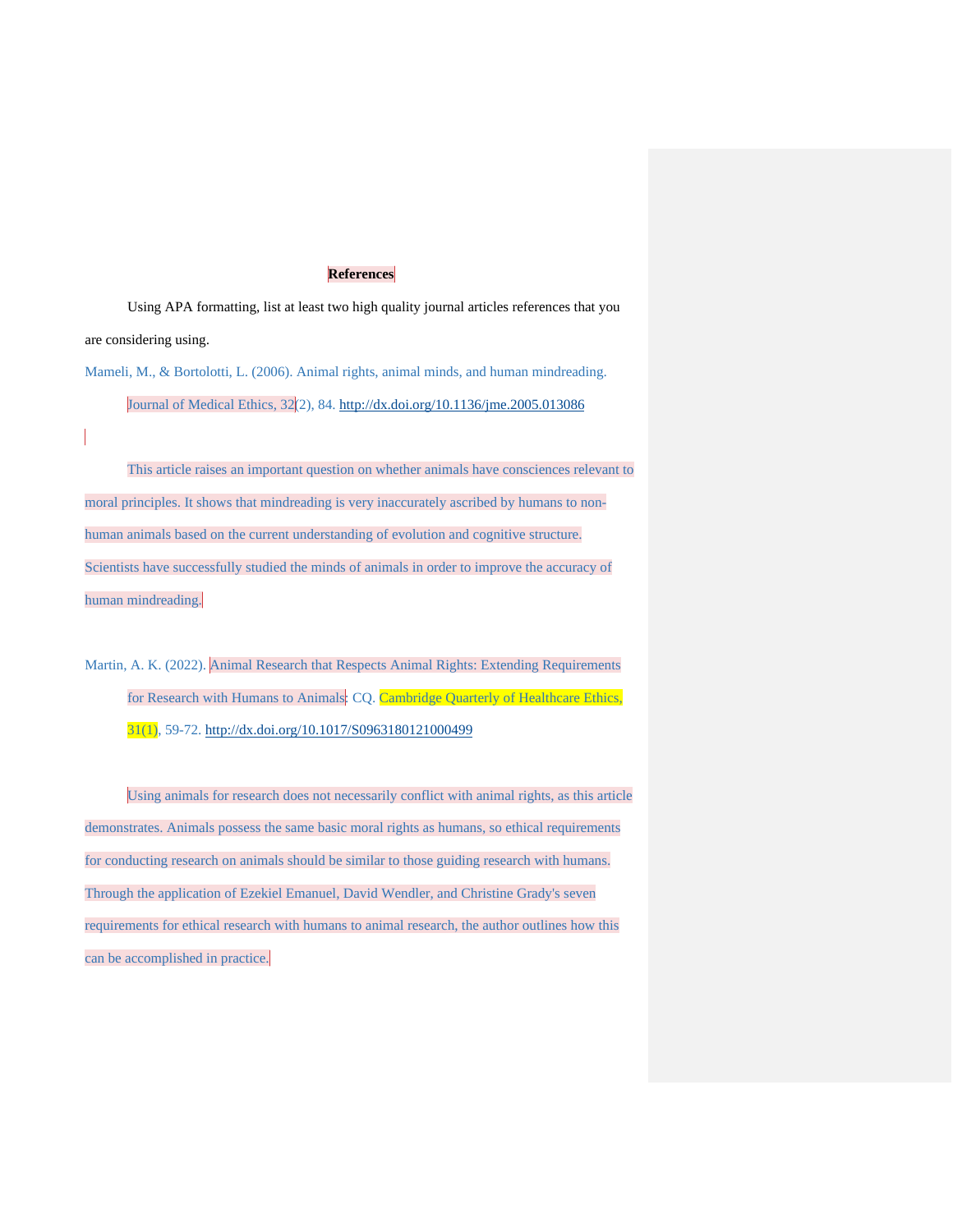## **References**

Using APA formatting, list at least two high quality journal articles references that you are considering using.

Mameli, M., & Bortolotti, L. (2006). Animal rights, animal minds, and human mindreading. Journal of Medical Ethics, 32(2), 84. http://[dx.doi.org/10.1136/jme.2005.013086](http://dx.doi.org/10.1136/jme.2005.013086)

This article raises an important question on whether animals have consciences relevant to moral principles. It shows that mindreading is very inaccurately ascribed by humans to nonhuman animals based on the current understanding of evolution and cognitive structure. Scientists have successfully studied the minds of animals in order to improve the accuracy of human mindreading.

Martin, A. K. (2022). Animal Research that Respects Animal Rights: Extending Requirements for Research with Humans to Animals: CQ. Cambridge Quarterly of Healthcare Ethics, 31(1), 59-72.<http://dx.doi.org/10.1017/S0963180121000499>

Using animals for research does not necessarily conflict with animal rights, as this article demonstrates. Animals possess the same basic moral rights as humans, so ethical requirements for conducting research on animals should be similar to those guiding research with humans. Through the application of Ezekiel Emanuel, David Wendler, and Christine Grady's seven requirements for ethical research with humans to animal research, the author outlines how this can be accomplished in practice.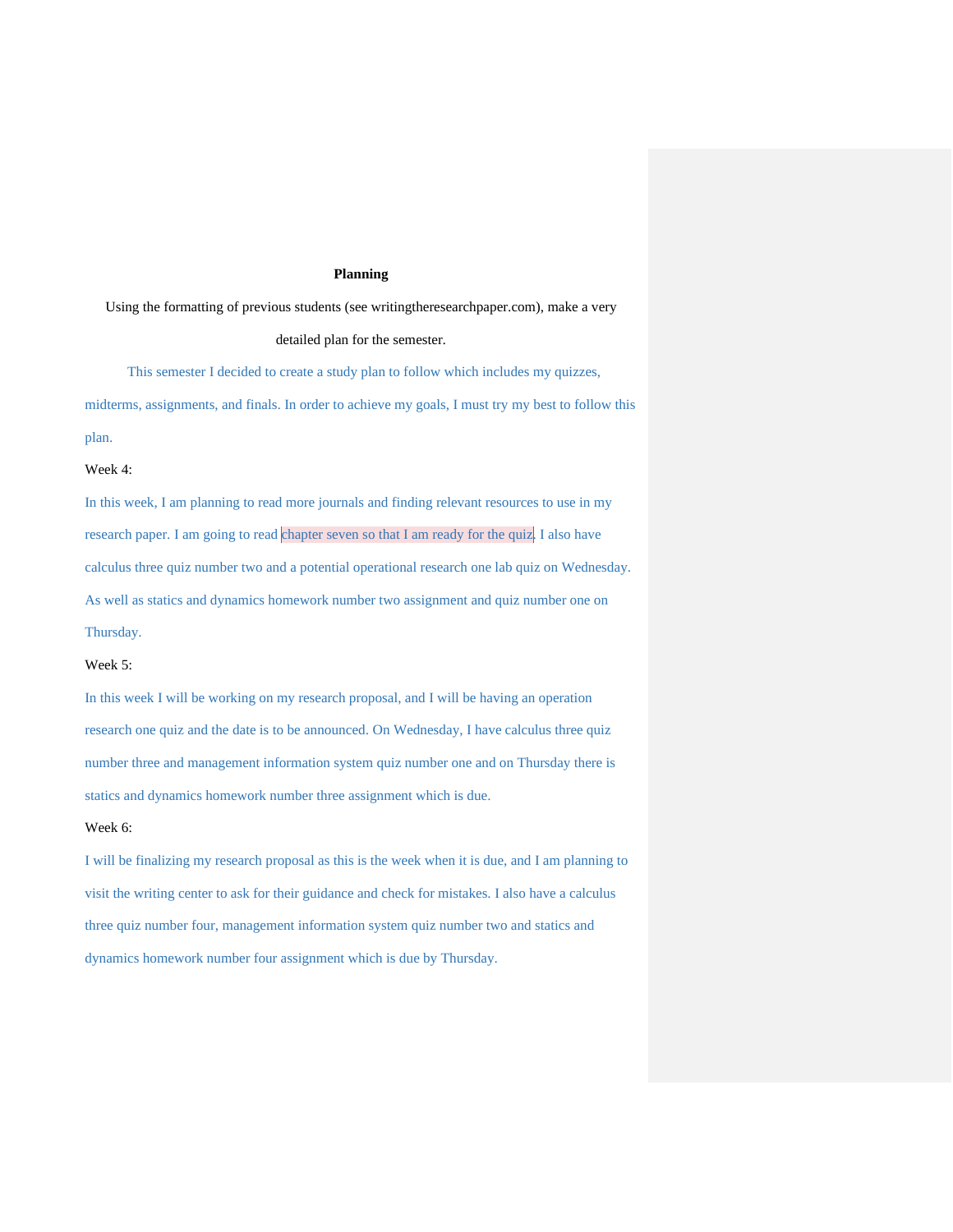## **Planning**

Using the formatting of previous students (see writingtheresearchpaper.com), make a very

detailed plan for the semester.

This semester I decided to create a study plan to follow which includes my quizzes, midterms, assignments, and finals. In order to achieve my goals, I must try my best to follow this plan.

## Week 4:

In this week, I am planning to read more journals and finding relevant resources to use in my research paper. I am going to read chapter seven so that I am ready for the quiz. I also have calculus three quiz number two and a potential operational research one lab quiz on Wednesday. As well as statics and dynamics homework number two assignment and quiz number one on Thursday.

### Week 5:

In this week I will be working on my research proposal, and I will be having an operation research one quiz and the date is to be announced. On Wednesday, I have calculus three quiz number three and management information system quiz number one and on Thursday there is statics and dynamics homework number three assignment which is due.

## Week 6:

I will be finalizing my research proposal as this is the week when it is due, and I am planning to visit the writing center to ask for their guidance and check for mistakes. I also have a calculus three quiz number four, management information system quiz number two and statics and dynamics homework number four assignment which is due by Thursday.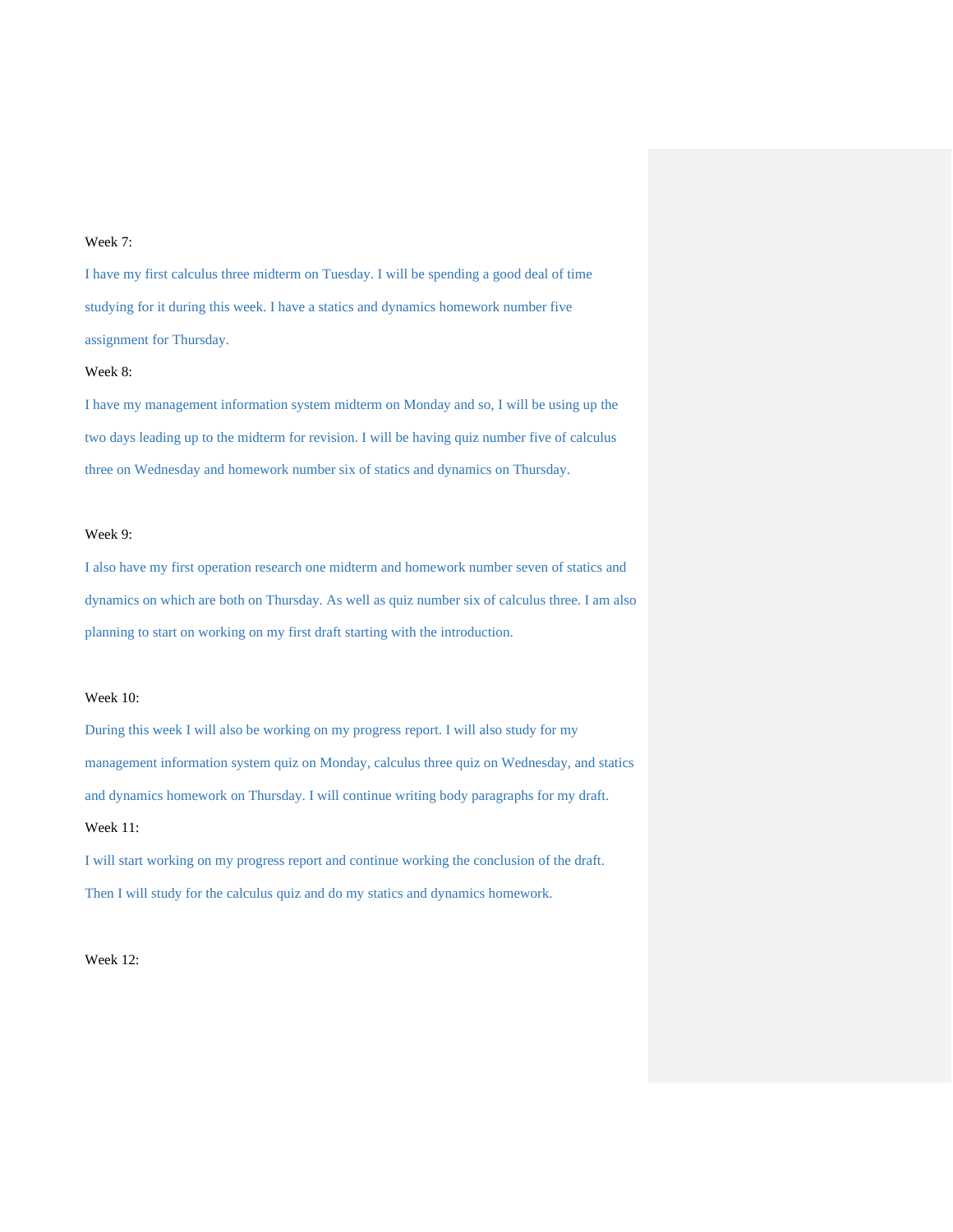# Week 7:

I have my first calculus three midterm on Tuesday. I will be spending a good deal of time studying for it during this week. I have a statics and dynamics homework number five assignment for Thursday.

#### Week 8:

I have my management information system midterm on Monday and so, I will be using up the two days leading up to the midterm for revision. I will be having quiz number five of calculus three on Wednesday and homework number six of statics and dynamics on Thursday.

#### Week 9:

I also have my first operation research one midterm and homework number seven of statics and dynamics on which are both on Thursday. As well as quiz number six of calculus three. I am also planning to start on working on my first draft starting with the introduction.

#### Week 10:

During this week I will also be working on my progress report. I will also study for my management information system quiz on Monday, calculus three quiz on Wednesday, and statics and dynamics homework on Thursday. I will continue writing body paragraphs for my draft. Week 11:

I will start working on my progress report and continue working the conclusion of the draft. Then I will study for the calculus quiz and do my statics and dynamics homework.

Week 12: